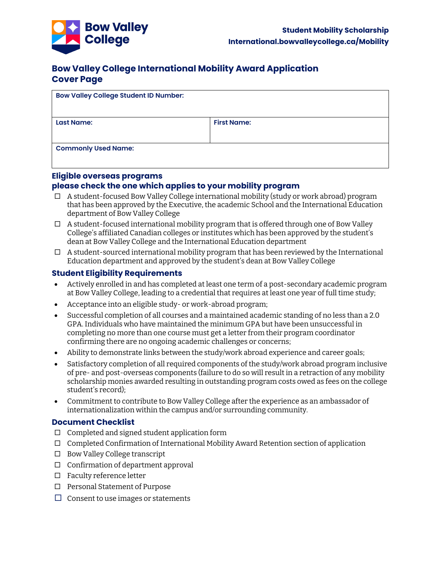

## **Bow Valley College International Mobility Award Application Cover Page**

| <b>Bow Valley College Student ID Number:</b> |                    |
|----------------------------------------------|--------------------|
| <b>Last Name:</b>                            | <b>First Name:</b> |
| <b>Commonly Used Name:</b>                   |                    |

### **Eligible overseas programs please check the one which applies to your mobility program**

- $\Box$  A student-focused Bow Valley College international mobility (study or work abroad) program that has been approved by the Executive, the academic School and the International Education department of Bow Valley College
- $\Box$  A student-focused international mobility program that is offered through one of Bow Valley College's affiliated Canadian colleges or institutes which has been approved by the student's dean at Bow Valley College and the International Education department
- $\Box$  A student-sourced international mobility program that has been reviewed by the International Education department and approved by the student's dean at Bow Valley College

### **Student Eligibility Requirements**

- Actively enrolled in and has completed at least one term of a post-secondary academic program at Bow Valley College, leading to a credential that requires at least one year of full time study;
- Acceptance into an eligible study- or work-abroad program;
- Successful completion of all courses and a maintained academic standing of no less than a 2.0 GPA. Individuals who have maintained the minimum GPA but have been unsuccessful in completing no more than one course must get a letter from their program coordinator confirming there are no ongoing academic challenges or concerns;
- Ability to demonstrate links between the study/work abroad experience and career goals;
- Satisfactory completion of all required components of the study/work abroad program inclusive of pre- and post-overseas components (failure to do so will result in a retraction of any mobility scholarship monies awarded resulting in outstanding program costs owed as fees on the college student's record);
- Commitment to contribute to Bow Valley College after the experience as an ambassador of internationalization within the campus and/or surrounding community.

#### **Document Checklist**

- $\Box$  Completed and signed student application form
- $\Box$  Completed Confirmation of International Mobility Award Retention section of application
- $\Box$  Bow Valley College transcript
- $\Box$  Confirmation of department approval
- $\Box$  Faculty reference letter
- □ Personal Statement of Purpose
- $\Box$  Consent to use images or statements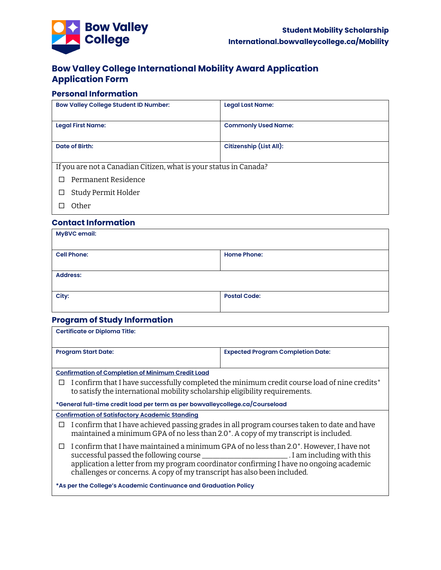

# **Bow Valley College International Mobility Award Application Application Form**

## **Personal Information**

| <b>Bow Valley College Student ID Number:</b>                      | <b>Legal Last Name:</b>        |  |
|-------------------------------------------------------------------|--------------------------------|--|
| <b>Legal First Name:</b>                                          | <b>Commonly Used Name:</b>     |  |
| Date of Birth:                                                    | <b>Citizenship (List All):</b> |  |
|                                                                   |                                |  |
| If you are not a Canadian Citizen, what is your status in Canada? |                                |  |
| Permanent Residence                                               |                                |  |
| Study Permit Holder                                               |                                |  |
| Other                                                             |                                |  |

## **Contact Information**

| <b>MyBVC</b> email: |                     |  |
|---------------------|---------------------|--|
| <b>Cell Phone:</b>  | <b>Home Phone:</b>  |  |
| <b>Address:</b>     |                     |  |
| City:               | <b>Postal Code:</b> |  |

## **Program of Study Information**

| <b>Certificate or Diploma Title:</b>                                                                                                                                                                                                                                                                                                   |                                          |  |
|----------------------------------------------------------------------------------------------------------------------------------------------------------------------------------------------------------------------------------------------------------------------------------------------------------------------------------------|------------------------------------------|--|
| <b>Program Start Date:</b>                                                                                                                                                                                                                                                                                                             | <b>Expected Program Completion Date:</b> |  |
| <b>Confirmation of Completion of Minimum Credit Load</b>                                                                                                                                                                                                                                                                               |                                          |  |
| I confirm that I have successfully completed the minimum credit course load of nine credits*<br>to satisfy the international mobility scholarship eligibility requirements.                                                                                                                                                            |                                          |  |
| *General full-time credit load per term as per bowvalleycollege.ca/Courseload                                                                                                                                                                                                                                                          |                                          |  |
| <b>Confirmation of Satisfactory Academic Standing</b>                                                                                                                                                                                                                                                                                  |                                          |  |
| I confirm that I have achieved passing grades in all program courses taken to date and have<br>П<br>maintained a minimum GPA of no less than 2.0 <sup>*</sup> . A copy of my transcript is included.                                                                                                                                   |                                          |  |
| I confirm that I have maintained a minimum GPA of no less than 2.0*. However, I have not<br>П<br>application a letter from my program coordinator confirming I have no ongoing academic<br>challenges or concerns. A copy of my transcript has also been included.<br>*As per the College's Academic Continuance and Graduation Policy |                                          |  |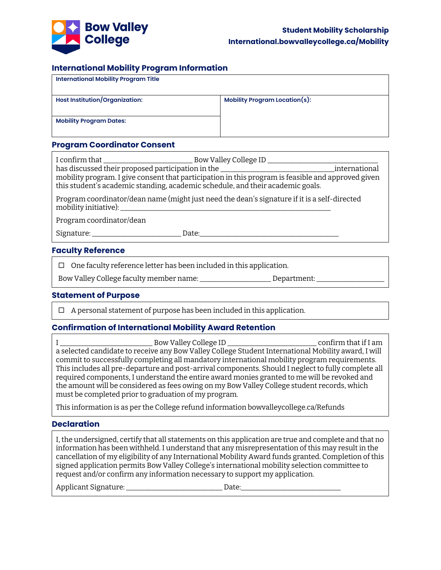

## **International Mobility Program Information**

| <b>International Mobility Program Title</b> |                                      |
|---------------------------------------------|--------------------------------------|
| Host Institution/Organization:              | <b>Mobility Program Location(s):</b> |
| <b>Mobility Program Dates:</b>              |                                      |

#### **Program Coordinator Consent**

|                                                                                                                                     | Bow Valley College ID                                                                              |               |
|-------------------------------------------------------------------------------------------------------------------------------------|----------------------------------------------------------------------------------------------------|---------------|
| has discussed their proposed participation in the<br>this student's academic standing, academic schedule, and their academic goals. | mobility program. I give consent that participation in this program is feasible and approved given | international |
| Program coordinator/dean name (might just need the dean's signature if it is a self-directed<br>mobility initiative):               |                                                                                                    |               |
| Program coordinator/dean                                                                                                            |                                                                                                    |               |

Signature: \_\_\_\_\_\_\_\_\_\_\_\_\_\_\_\_\_\_\_\_\_\_\_\_\_ Date:\_\_\_\_\_\_\_\_\_\_\_\_\_\_\_\_\_\_\_\_\_\_\_\_\_\_\_\_\_\_\_\_\_\_\_\_\_\_\_

#### **Faculty Reference**

 $\Box$  One faculty reference letter has been included in this application.

Bow Valley College faculty member name: \_\_\_\_\_\_\_\_\_\_\_\_\_\_\_\_\_\_\_\_\_\_\_\_\_\_\_ Department: \_\_\_\_\_\_

### **Statement of Purpose**

 $\Box$  A personal statement of purpose has been included in this application.

### **Confirmation of International Mobility Award Retention**

| Bow Valley College ID                                                                               | confirm that if I am |
|-----------------------------------------------------------------------------------------------------|----------------------|
| a selected candidate to receive any Bow Valley College Student International Mobility award, I will |                      |
| commit to successfully completing all mandatory international mobility program requirements.        |                      |
| This includes all pre-departure and post-arrival components. Should I neglect to fully complete all |                      |
| required components, I understand the entire award monies granted to me will be revoked and         |                      |
| the amount will be considered as fees owing on my Bow Valley College student records, which         |                      |
| must be completed prior to graduation of my program.                                                |                      |

This information is as per the College refund information bowvalleycollege.ca/Refunds

#### **Declaration**

I, the undersigned, certify that all statements on this application are true and complete and that no information has been withheld. I understand that any misrepresentation of this may result in the cancellation of my eligibility of any International Mobility Award funds granted. Completion of this signed application permits Bow Valley College's international mobility selection committee to request and/or confirm any information necessary to support my application.

Applicant Signature: \_\_\_\_\_\_\_\_\_\_\_\_\_\_\_\_\_\_\_\_\_\_\_\_\_\_\_\_\_\_\_\_\_\_\_ Date:\_\_\_\_\_\_\_\_\_\_\_\_\_\_\_\_\_\_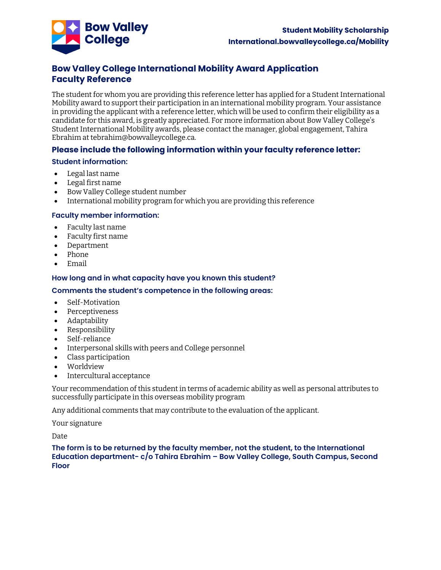

## **Bow Valley College International Mobility Award Application Faculty Reference**

The student for whom you are providing this reference letter has applied for a Student International Mobility award to support their participation in an international mobility program. Your assistance in providing the applicant with a reference letter, which will be used to confirm their eligibility as a candidate for this award, is greatly appreciated. For more information about Bow Valley College's Student International Mobility awards, please contact the manager, global engagement, Tahira Ebrahim at tebrahim@bowvalleycollege.ca.

## **Please include the following information within your faculty reference letter:**

#### **Student information:**

- Legal last name
- Legal first name
- Bow Valley College student number
- International mobility program for which you are providing this reference

#### **Faculty member information:**

- Faculty last name
- Faculty first name
- Department
- Phone
- Email

#### **How long and in what capacity have you known this student?**

#### **Comments the student's competence in the following areas:**

- Self-Motivation
- Perceptiveness
- Adaptability
- Responsibility
- Self-reliance
- Interpersonal skills with peers and College personnel
- Class participation
- Worldview
- Intercultural acceptance

Your recommendation of this student in terms of academic ability as well as personal attributes to successfully participate in this overseas mobility program

Any additional comments that may contribute to the evaluation of the applicant.

Your signature

Date

**The form is to be returned by the faculty member, not the student, to the International Education department- c/o Tahira Ebrahim – Bow Valley College, South Campus, Second Floor**